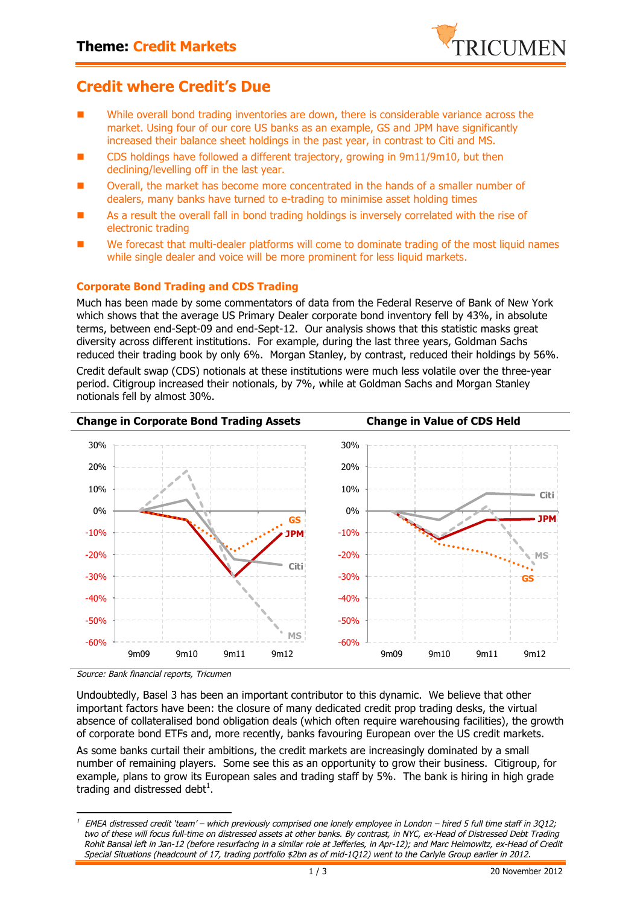

## **Credit where Credit's Due**

- While overall bond trading inventories are down, there is considerable variance across the market. Using four of our core US banks as an example, GS and JPM have significantly increased their balance sheet holdings in the past year, in contrast to Citi and MS.
- CDS holdings have followed a different trajectory, growing in 9m11/9m10, but then declining/levelling off in the last year.
- Overall, the market has become more concentrated in the hands of a smaller number of dealers, many banks have turned to e-trading to minimise asset holding times
- As a result the overall fall in bond trading holdings is inversely correlated with the rise of electronic trading
- We forecast that multi-dealer platforms will come to dominate trading of the most liquid names while single dealer and voice will be more prominent for less liquid markets.

### **Corporate Bond Trading and CDS Trading**

Much has been made by some commentators of data from the Federal Reserve of Bank of New York which shows that the average US Primary Dealer corporate bond inventory fell by 43%, in absolute terms, between end-Sept-09 and end-Sept-12. Our analysis shows that this statistic masks great diversity across different institutions. For example, during the last three years, Goldman Sachs reduced their trading book by only 6%. Morgan Stanley, by contrast, reduced their holdings by 56%. Credit default swap (CDS) notionals at these institutions were much less volatile over the three-year period. Citigroup increased their notionals, by 7%, while at Goldman Sachs and Morgan Stanley notionals fell by almost 30%.



Source: Bank financial reports, Tricumen

Undoubtedly, Basel 3 has been an important contributor to this dynamic. We believe that other important factors have been: the closure of many dedicated credit prop trading desks, the virtual absence of collateralised bond obligation deals (which often require warehousing facilities), the growth of corporate bond ETFs and, more recently, banks favouring European over the US credit markets.

As some banks curtail their ambitions, the credit markets are increasingly dominated by a small number of remaining players. Some see this as an opportunity to grow their business. Citigroup, for example, plans to grow its European sales and trading staff by 5%. The bank is hiring in high grade trading and distressed debt<sup>1</sup>.

 $1$  EMEA distressed credit 'team' – which previously comprised one lonely employee in London – hired 5 full time staff in 3Q12; two of these will focus full-time on distressed assets at other banks. By contrast, in NYC, ex-Head of Distressed Debt Trading Rohit Bansal left in Jan-12 (before resurfacing in a similar role at Jefferies, in Apr-12); and Marc Heimowitz, ex-Head of Credit Special Situations (headcount of 17, trading portfolio \$2bn as of mid-1Q12) went to the Carlyle Group earlier in 2012.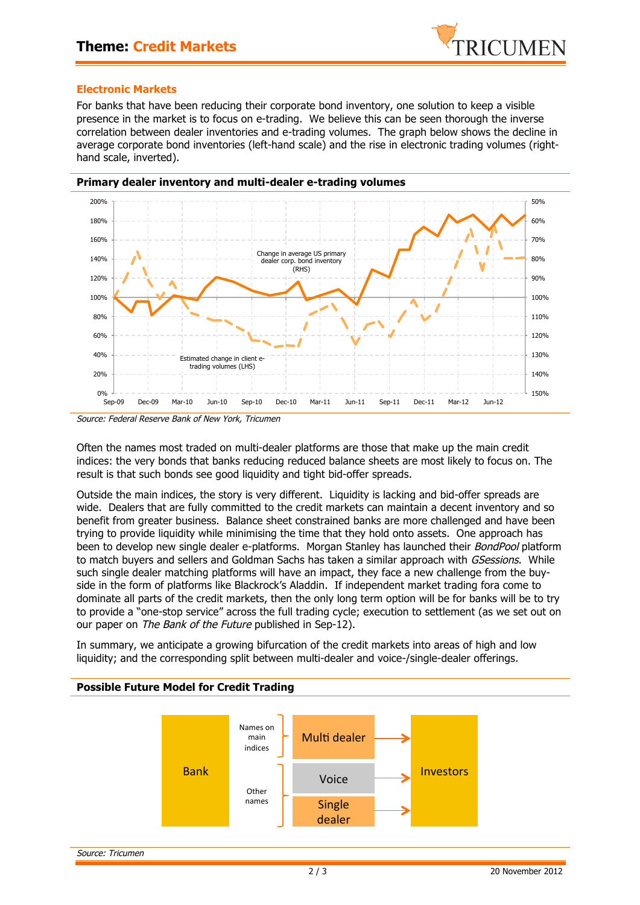

#### **Electronic Markets**

For banks that have been reducing their corporate bond inventory, one solution to keep a visible presence in the market is to focus on e-trading. We believe this can be seen thorough the inverse correlation between dealer inventories and e-trading volumes. The graph below shows the decline in average corporate bond inventories (left-hand scale) and the rise in electronic trading volumes (righthand scale, inverted).



Source: Federal Reserve Bank of New York, Tricumen

Often the names most traded on multi-dealer platforms are those that make up the main credit indices: the very bonds that banks reducing reduced balance sheets are most likely to focus on. The result is that such bonds see good liquidity and tight bid-offer spreads.

Outside the main indices, the story is very different. Liquidity is lacking and bid-offer spreads are wide. Dealers that are fully committed to the credit markets can maintain a decent inventory and so benefit from greater business. Balance sheet constrained banks are more challenged and have been trying to provide liquidity while minimising the time that they hold onto assets. One approach has been to develop new single dealer e-platforms. Morgan Stanley has launched their BondPool platform to match buyers and sellers and Goldman Sachs has taken a similar approach with GSessions. While such single dealer matching platforms will have an impact, they face a new challenge from the buyside in the form of platforms like Blackrock's Aladdin. If independent market trading fora come to dominate all parts of the credit markets, then the only long term option will be for banks will be to try to provide a "one-stop service" across the full trading cycle; execution to settlement (as we set out on our paper on The Bank of the Future published in Sep-12).

In summary, we anticipate a growing bifurcation of the credit markets into areas of high and low liquidity; and the corresponding split between multi-dealer and voice-/single-dealer offerings.

### **Possible Future Model for Credit Trading**